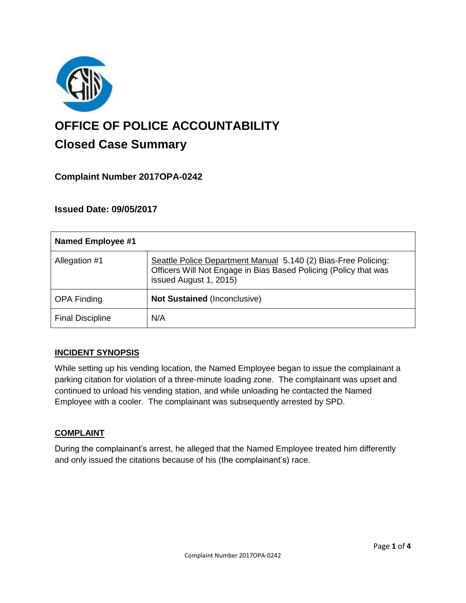

# **OFFICE OF POLICE ACCOUNTABILITY**

# **Closed Case Summary**

# **Complaint Number 2017OPA-0242**

# **Issued Date: 09/05/2017**

| <b>Named Employee #1</b> |                                                                                                                                                              |
|--------------------------|--------------------------------------------------------------------------------------------------------------------------------------------------------------|
| Allegation #1            | Seattle Police Department Manual 5.140 (2) Bias-Free Policing:<br>Officers Will Not Engage in Bias Based Policing (Policy that was<br>issued August 1, 2015) |
| <b>OPA Finding</b>       | <b>Not Sustained (Inconclusive)</b>                                                                                                                          |
| <b>Final Discipline</b>  | N/A                                                                                                                                                          |

# **INCIDENT SYNOPSIS**

While setting up his vending location, the Named Employee began to issue the complainant a parking citation for violation of a three-minute loading zone. The complainant was upset and continued to unload his vending station, and while unloading he contacted the Named Employee with a cooler. The complainant was subsequently arrested by SPD.

#### **COMPLAINT**

During the complainant's arrest, he alleged that the Named Employee treated him differently and only issued the citations because of his (the complainant's) race.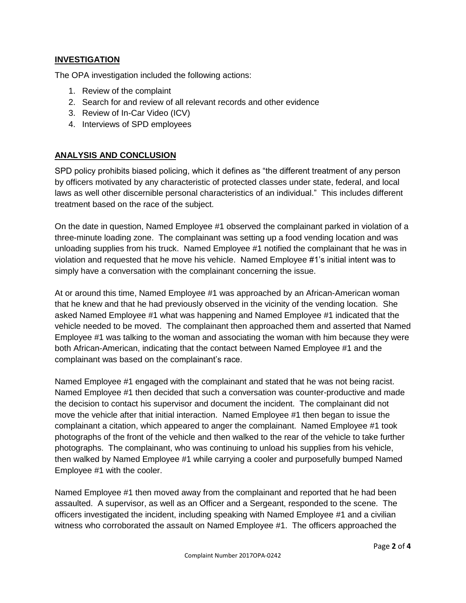## **INVESTIGATION**

The OPA investigation included the following actions:

- 1. Review of the complaint
- 2. Search for and review of all relevant records and other evidence
- 3. Review of In-Car Video (ICV)
- 4. Interviews of SPD employees

## **ANALYSIS AND CONCLUSION**

SPD policy prohibits biased policing, which it defines as "the different treatment of any person by officers motivated by any characteristic of protected classes under state, federal, and local laws as well other discernible personal characteristics of an individual." This includes different treatment based on the race of the subject.

On the date in question, Named Employee #1 observed the complainant parked in violation of a three-minute loading zone. The complainant was setting up a food vending location and was unloading supplies from his truck. Named Employee #1 notified the complainant that he was in violation and requested that he move his vehicle. Named Employee #1's initial intent was to simply have a conversation with the complainant concerning the issue.

At or around this time, Named Employee #1 was approached by an African-American woman that he knew and that he had previously observed in the vicinity of the vending location. She asked Named Employee #1 what was happening and Named Employee #1 indicated that the vehicle needed to be moved. The complainant then approached them and asserted that Named Employee #1 was talking to the woman and associating the woman with him because they were both African-American, indicating that the contact between Named Employee #1 and the complainant was based on the complainant's race.

Named Employee #1 engaged with the complainant and stated that he was not being racist. Named Employee #1 then decided that such a conversation was counter-productive and made the decision to contact his supervisor and document the incident. The complainant did not move the vehicle after that initial interaction. Named Employee #1 then began to issue the complainant a citation, which appeared to anger the complainant. Named Employee #1 took photographs of the front of the vehicle and then walked to the rear of the vehicle to take further photographs. The complainant, who was continuing to unload his supplies from his vehicle, then walked by Named Employee #1 while carrying a cooler and purposefully bumped Named Employee #1 with the cooler.

Named Employee #1 then moved away from the complainant and reported that he had been assaulted. A supervisor, as well as an Officer and a Sergeant, responded to the scene. The officers investigated the incident, including speaking with Named Employee #1 and a civilian witness who corroborated the assault on Named Employee #1. The officers approached the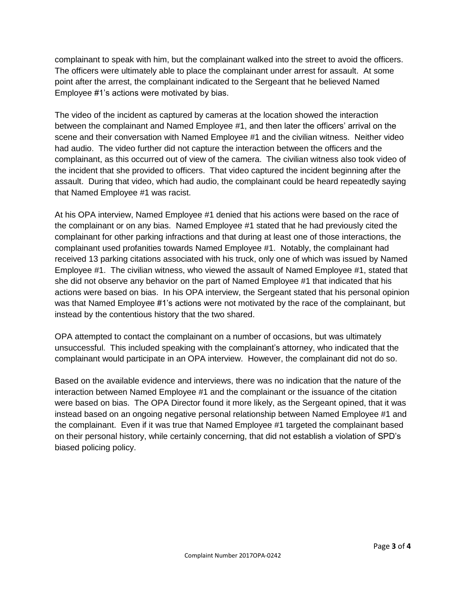complainant to speak with him, but the complainant walked into the street to avoid the officers. The officers were ultimately able to place the complainant under arrest for assault. At some point after the arrest, the complainant indicated to the Sergeant that he believed Named Employee #1's actions were motivated by bias.

The video of the incident as captured by cameras at the location showed the interaction between the complainant and Named Employee #1, and then later the officers' arrival on the scene and their conversation with Named Employee #1 and the civilian witness. Neither video had audio. The video further did not capture the interaction between the officers and the complainant, as this occurred out of view of the camera. The civilian witness also took video of the incident that she provided to officers. That video captured the incident beginning after the assault. During that video, which had audio, the complainant could be heard repeatedly saying that Named Employee #1 was racist.

At his OPA interview, Named Employee #1 denied that his actions were based on the race of the complainant or on any bias. Named Employee #1 stated that he had previously cited the complainant for other parking infractions and that during at least one of those interactions, the complainant used profanities towards Named Employee #1. Notably, the complainant had received 13 parking citations associated with his truck, only one of which was issued by Named Employee #1. The civilian witness, who viewed the assault of Named Employee #1, stated that she did not observe any behavior on the part of Named Employee #1 that indicated that his actions were based on bias. In his OPA interview, the Sergeant stated that his personal opinion was that Named Employee #1's actions were not motivated by the race of the complainant, but instead by the contentious history that the two shared.

OPA attempted to contact the complainant on a number of occasions, but was ultimately unsuccessful. This included speaking with the complainant's attorney, who indicated that the complainant would participate in an OPA interview. However, the complainant did not do so.

Based on the available evidence and interviews, there was no indication that the nature of the interaction between Named Employee #1 and the complainant or the issuance of the citation were based on bias. The OPA Director found it more likely, as the Sergeant opined, that it was instead based on an ongoing negative personal relationship between Named Employee #1 and the complainant. Even if it was true that Named Employee #1 targeted the complainant based on their personal history, while certainly concerning, that did not establish a violation of SPD's biased policing policy.